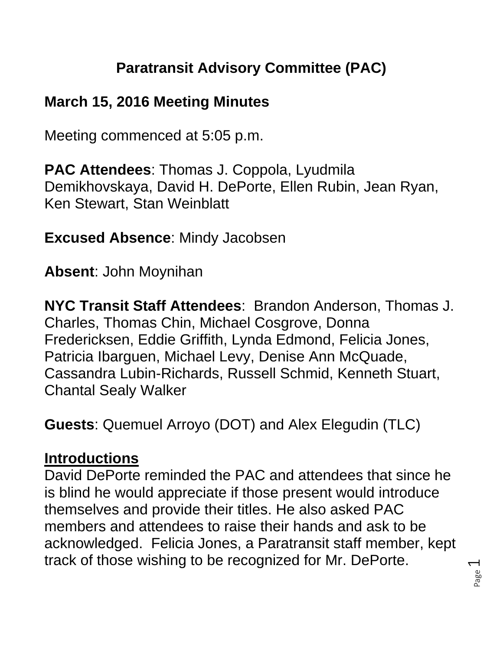# **Paratransit Advisory Committee (PAC)**

### **March 15, 2016 Meeting Minutes**

Meeting commenced at 5:05 p.m.

**PAC Attendees**: Thomas J. Coppola, Lyudmila Demikhovskaya, David H. DePorte, Ellen Rubin, Jean Ryan, Ken Stewart, Stan Weinblatt

### **Excused Absence**: Mindy Jacobsen

**Absent**: John Moynihan

**NYC Transit Staff Attendees**: Brandon Anderson, Thomas J. Charles, Thomas Chin, Michael Cosgrove, Donna Fredericksen, Eddie Griffith, Lynda Edmond, Felicia Jones, Patricia Ibarguen, Michael Levy, Denise Ann McQuade, Cassandra Lubin-Richards, Russell Schmid, Kenneth Stuart, Chantal Sealy Walker

**Guests**: Quemuel Arroyo (DOT) and Alex Elegudin (TLC)

### **Introductions**

David DePorte reminded the PAC and attendees that since he is blind he would appreciate if those present would introduce themselves and provide their titles. He also asked PAC members and attendees to raise their hands and ask to be acknowledged. Felicia Jones, a Paratransit staff member, kept track of those wishing to be recognized for Mr. DePorte.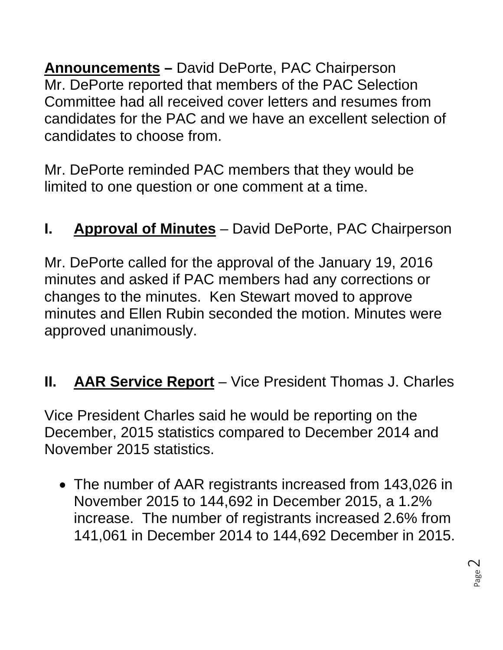**Announcements –** David DePorte, PAC Chairperson Mr. DePorte reported that members of the PAC Selection Committee had all received cover letters and resumes from candidates for the PAC and we have an excellent selection of candidates to choose from.

Mr. DePorte reminded PAC members that they would be limited to one question or one comment at a time.

# **I. Approval of Minutes** – David DePorte, PAC Chairperson

Mr. DePorte called for the approval of the January 19, 2016 minutes and asked if PAC members had any corrections or changes to the minutes. Ken Stewart moved to approve minutes and Ellen Rubin seconded the motion. Minutes were approved unanimously.

## **II. AAR Service Report** – Vice President Thomas J. Charles

Vice President Charles said he would be reporting on the December, 2015 statistics compared to December 2014 and November 2015 statistics.

• The number of AAR registrants increased from 143,026 in November 2015 to 144,692 in December 2015, a 1.2% increase. The number of registrants increased 2.6% from 141,061 in December 2014 to 144,692 December in 2015.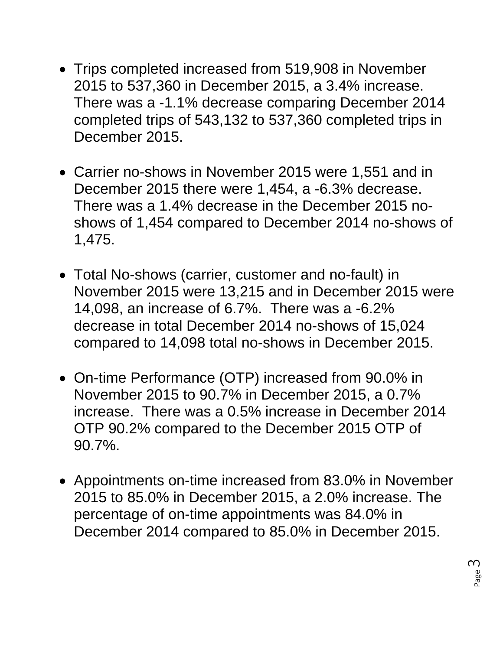- Trips completed increased from 519,908 in November 2015 to 537,360 in December 2015, a 3.4% increase. There was a -1.1% decrease comparing December 2014 completed trips of 543,132 to 537,360 completed trips in December 2015.
- Carrier no-shows in November 2015 were 1,551 and in December 2015 there were 1,454, a -6.3% decrease. There was a 1.4% decrease in the December 2015 noshows of 1,454 compared to December 2014 no-shows of 1,475.
- Total No-shows (carrier, customer and no-fault) in November 2015 were 13,215 and in December 2015 were 14,098, an increase of 6.7%. There was a -6.2% decrease in total December 2014 no-shows of 15,024 compared to 14,098 total no-shows in December 2015.
- On-time Performance (OTP) increased from 90.0% in November 2015 to 90.7% in December 2015, a 0.7% increase. There was a 0.5% increase in December 2014 OTP 90.2% compared to the December 2015 OTP of 90.7%.
- Appointments on-time increased from 83.0% in November 2015 to 85.0% in December 2015, a 2.0% increase. The percentage of on-time appointments was 84.0% in December 2014 compared to 85.0% in December 2015.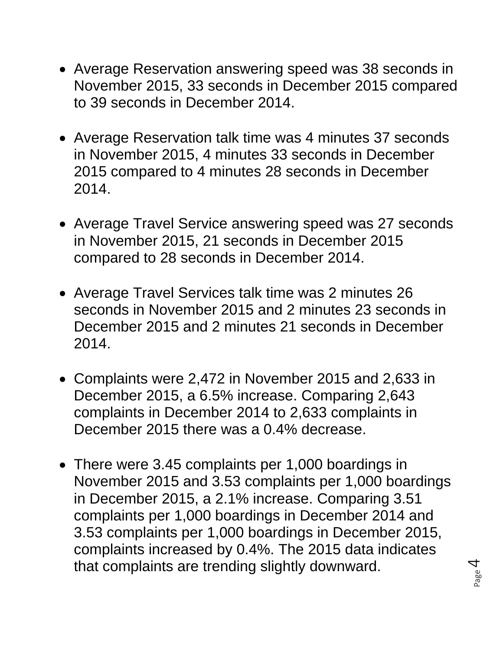- Average Reservation answering speed was 38 seconds in November 2015, 33 seconds in December 2015 compared to 39 seconds in December 2014.
- Average Reservation talk time was 4 minutes 37 seconds in November 2015, 4 minutes 33 seconds in December 2015 compared to 4 minutes 28 seconds in December 2014.
- Average Travel Service answering speed was 27 seconds in November 2015, 21 seconds in December 2015 compared to 28 seconds in December 2014.
- Average Travel Services talk time was 2 minutes 26 seconds in November 2015 and 2 minutes 23 seconds in December 2015 and 2 minutes 21 seconds in December 2014.
- Complaints were 2,472 in November 2015 and 2,633 in December 2015, a 6.5% increase. Comparing 2,643 complaints in December 2014 to 2,633 complaints in December 2015 there was a 0.4% decrease.
- There were 3.45 complaints per 1,000 boardings in November 2015 and 3.53 complaints per 1,000 boardings in December 2015, a 2.1% increase. Comparing 3.51 complaints per 1,000 boardings in December 2014 and 3.53 complaints per 1,000 boardings in December 2015, complaints increased by 0.4%. The 2015 data indicates that complaints are trending slightly downward.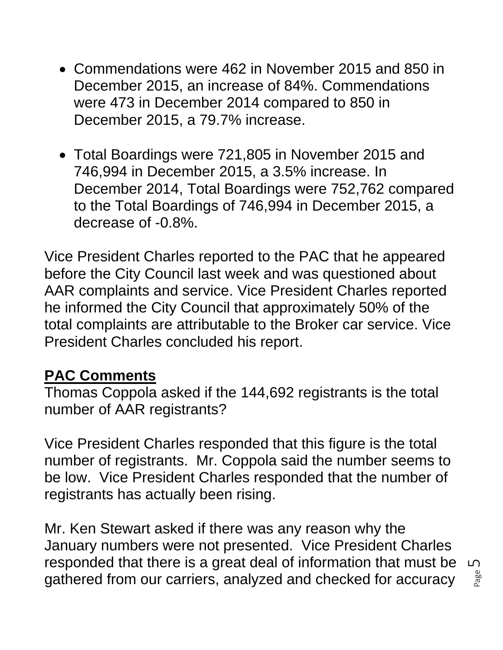- Commendations were 462 in November 2015 and 850 in December 2015, an increase of 84%. Commendations were 473 in December 2014 compared to 850 in December 2015, a 79.7% increase.
- Total Boardings were 721,805 in November 2015 and 746,994 in December 2015, a 3.5% increase. In December 2014, Total Boardings were 752,762 compared to the Total Boardings of 746,994 in December 2015, a decrease of -0.8%.

Vice President Charles reported to the PAC that he appeared before the City Council last week and was questioned about AAR complaints and service. Vice President Charles reported he informed the City Council that approximately 50% of the total complaints are attributable to the Broker car service. Vice President Charles concluded his report.

### **PAC Comments**

Thomas Coppola asked if the 144,692 registrants is the total number of AAR registrants?

Vice President Charles responded that this figure is the total number of registrants. Mr. Coppola said the number seems to be low. Vice President Charles responded that the number of registrants has actually been rising.

Mr. Ken Stewart asked if there was any reason why the January numbers were not presented. Vice President Charles responded that there is a great deal of information that must be gathered from our carriers, analyzed and checked for accuracy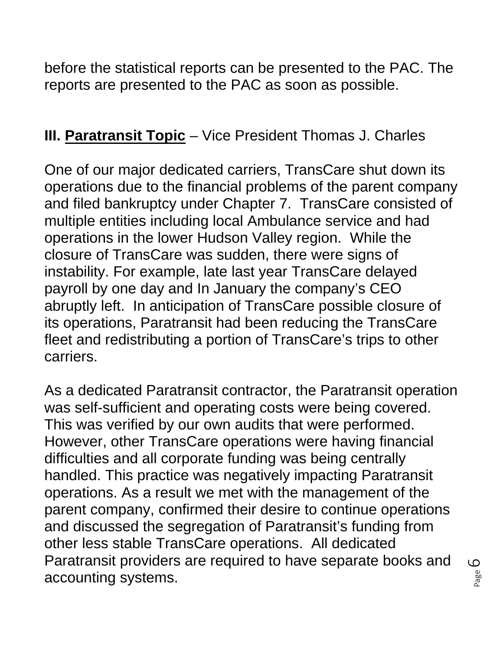before the statistical reports can be presented to the PAC. The reports are presented to the PAC as soon as possible.

### **III. Paratransit Topic** – Vice President Thomas J. Charles

One of our major dedicated carriers, TransCare shut down its operations due to the financial problems of the parent company and filed bankruptcy under Chapter 7. TransCare consisted of multiple entities including local Ambulance service and had operations in the lower Hudson Valley region. While the closure of TransCare was sudden, there were signs of instability. For example, late last year TransCare delayed payroll by one day and In January the company's CEO abruptly left. In anticipation of TransCare possible closure of its operations, Paratransit had been reducing the TransCare fleet and redistributing a portion of TransCare's trips to other carriers.

As a dedicated Paratransit contractor, the Paratransit operation was self-sufficient and operating costs were being covered. This was verified by our own audits that were performed. However, other TransCare operations were having financial difficulties and all corporate funding was being centrally handled. This practice was negatively impacting Paratransit operations. As a result we met with the management of the parent company, confirmed their desire to continue operations and discussed the segregation of Paratransit's funding from other less stable TransCare operations. All dedicated Paratransit providers are required to have separate books and accounting systems.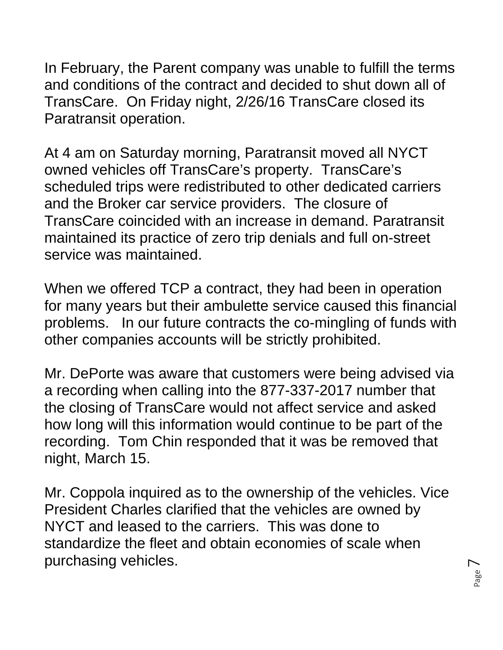In February, the Parent company was unable to fulfill the terms and conditions of the contract and decided to shut down all of TransCare. On Friday night, 2/26/16 TransCare closed its Paratransit operation.

At 4 am on Saturday morning, Paratransit moved all NYCT owned vehicles off TransCare's property. TransCare's scheduled trips were redistributed to other dedicated carriers and the Broker car service providers. The closure of TransCare coincided with an increase in demand. Paratransit maintained its practice of zero trip denials and full on-street service was maintained.

When we offered TCP a contract, they had been in operation for many years but their ambulette service caused this financial problems. In our future contracts the co-mingling of funds with other companies accounts will be strictly prohibited.

Mr. DePorte was aware that customers were being advised via a recording when calling into the 877-337-2017 number that the closing of TransCare would not affect service and asked how long will this information would continue to be part of the recording. Tom Chin responded that it was be removed that night, March 15.

Mr. Coppola inquired as to the ownership of the vehicles. Vice President Charles clarified that the vehicles are owned by NYCT and leased to the carriers. This was done to standardize the fleet and obtain economies of scale when purchasing vehicles.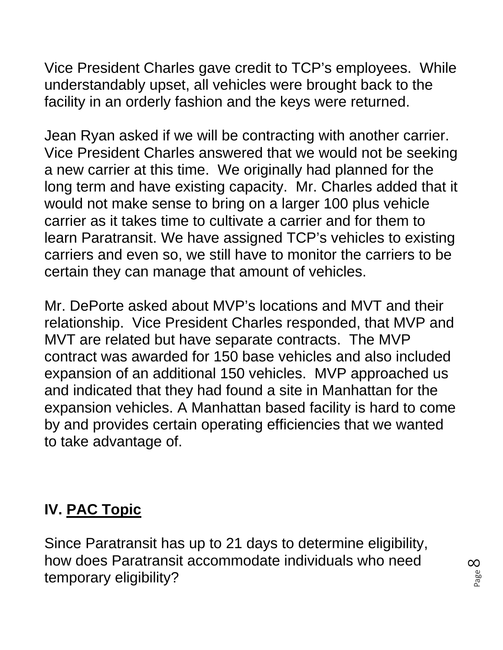Vice President Charles gave credit to TCP's employees. While understandably upset, all vehicles were brought back to the facility in an orderly fashion and the keys were returned.

Jean Ryan asked if we will be contracting with another carrier. Vice President Charles answered that we would not be seeking a new carrier at this time. We originally had planned for the long term and have existing capacity. Mr. Charles added that it would not make sense to bring on a larger 100 plus vehicle carrier as it takes time to cultivate a carrier and for them to learn Paratransit. We have assigned TCP's vehicles to existing carriers and even so, we still have to monitor the carriers to be certain they can manage that amount of vehicles.

Mr. DePorte asked about MVP's locations and MVT and their relationship. Vice President Charles responded, that MVP and MVT are related but have separate contracts. The MVP contract was awarded for 150 base vehicles and also included expansion of an additional 150 vehicles. MVP approached us and indicated that they had found a site in Manhattan for the expansion vehicles. A Manhattan based facility is hard to come by and provides certain operating efficiencies that we wanted to take advantage of.

# **IV. PAC Topic**

Since Paratransit has up to 21 days to determine eligibility, how does Paratransit accommodate individuals who need temporary eligibility?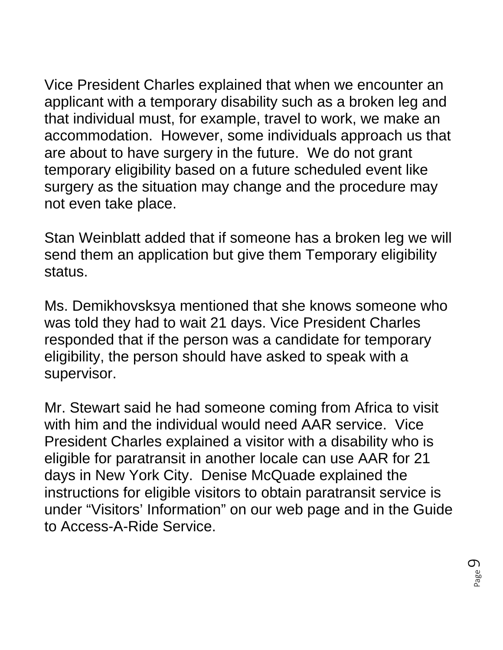Vice President Charles explained that when we encounter an applicant with a temporary disability such as a broken leg and that individual must, for example, travel to work, we make an accommodation. However, some individuals approach us that are about to have surgery in the future. We do not grant temporary eligibility based on a future scheduled event like surgery as the situation may change and the procedure may not even take place.

Stan Weinblatt added that if someone has a broken leg we will send them an application but give them Temporary eligibility status.

Ms. Demikhovsksya mentioned that she knows someone who was told they had to wait 21 days. Vice President Charles responded that if the person was a candidate for temporary eligibility, the person should have asked to speak with a supervisor.

Mr. Stewart said he had someone coming from Africa to visit with him and the individual would need AAR service. Vice President Charles explained a visitor with a disability who is eligible for paratransit in another locale can use AAR for 21 days in New York City. Denise McQuade explained the instructions for eligible visitors to obtain paratransit service is under "Visitors' Information" on our web page and in the Guide to Access-A-Ride Service.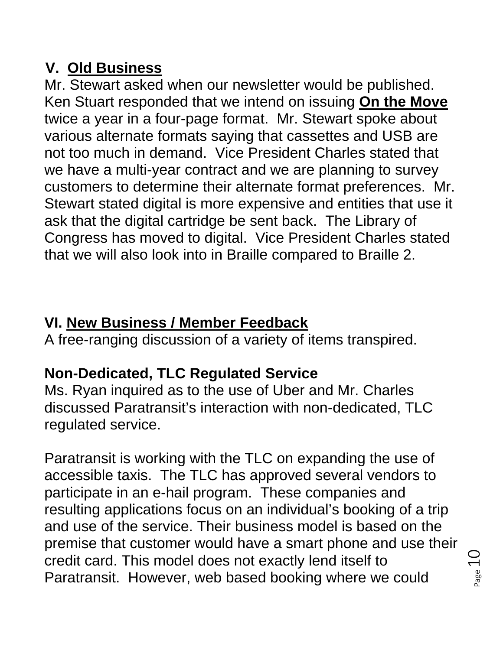# **V. Old Business**

Mr. Stewart asked when our newsletter would be published. Ken Stuart responded that we intend on issuing **On the Move** twice a year in a four-page format. Mr. Stewart spoke about various alternate formats saying that cassettes and USB are not too much in demand. Vice President Charles stated that we have a multi-year contract and we are planning to survey customers to determine their alternate format preferences. Mr. Stewart stated digital is more expensive and entities that use it ask that the digital cartridge be sent back. The Library of Congress has moved to digital. Vice President Charles stated that we will also look into in Braille compared to Braille 2.

# **VI. New Business / Member Feedback**

A free-ranging discussion of a variety of items transpired.

# **Non-Dedicated, TLC Regulated Service**

Ms. Ryan inquired as to the use of Uber and Mr. Charles discussed Paratransit's interaction with non-dedicated, TLC regulated service.

Paratransit is working with the TLC on expanding the use of accessible taxis. The TLC has approved several vendors to participate in an e-hail program. These companies and resulting applications focus on an individual's booking of a trip and use of the service. Their business model is based on the premise that customer would have a smart phone and use their credit card. This model does not exactly lend itself to Paratransit. However, web based booking where we could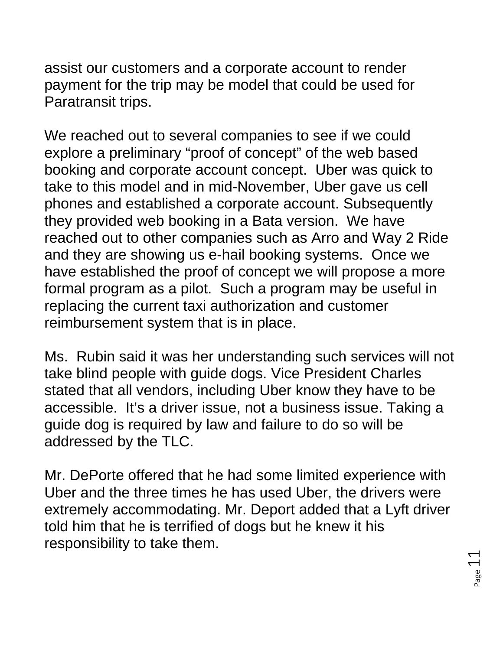assist our customers and a corporate account to render payment for the trip may be model that could be used for Paratransit trips.

We reached out to several companies to see if we could explore a preliminary "proof of concept" of the web based booking and corporate account concept. Uber was quick to take to this model and in mid-November, Uber gave us cell phones and established a corporate account. Subsequently they provided web booking in a Bata version. We have reached out to other companies such as Arro and Way 2 Ride and they are showing us e-hail booking systems. Once we have established the proof of concept we will propose a more formal program as a pilot. Such a program may be useful in replacing the current taxi authorization and customer reimbursement system that is in place.

Ms. Rubin said it was her understanding such services will not take blind people with guide dogs. Vice President Charles stated that all vendors, including Uber know they have to be accessible. It's a driver issue, not a business issue. Taking a guide dog is required by law and failure to do so will be addressed by the TLC.

Mr. DePorte offered that he had some limited experience with Uber and the three times he has used Uber, the drivers were extremely accommodating. Mr. Deport added that a Lyft driver told him that he is terrified of dogs but he knew it his responsibility to take them.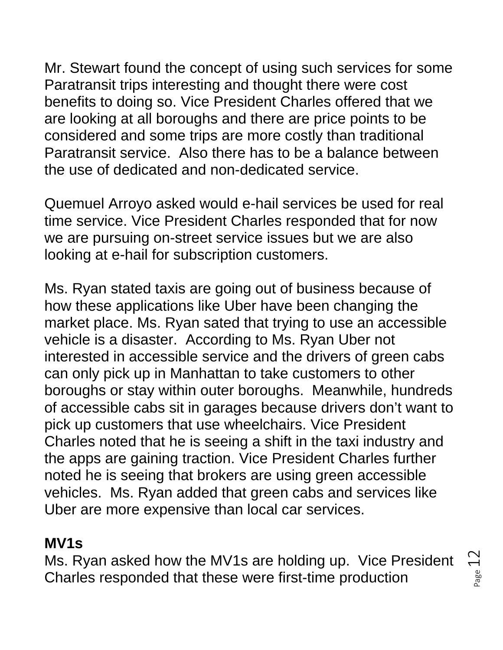Mr. Stewart found the concept of using such services for some Paratransit trips interesting and thought there were cost benefits to doing so. Vice President Charles offered that we are looking at all boroughs and there are price points to be considered and some trips are more costly than traditional Paratransit service. Also there has to be a balance between the use of dedicated and non-dedicated service.

Quemuel Arroyo asked would e-hail services be used for real time service. Vice President Charles responded that for now we are pursuing on-street service issues but we are also looking at e-hail for subscription customers.

Ms. Ryan stated taxis are going out of business because of how these applications like Uber have been changing the market place. Ms. Ryan sated that trying to use an accessible vehicle is a disaster. According to Ms. Ryan Uber not interested in accessible service and the drivers of green cabs can only pick up in Manhattan to take customers to other boroughs or stay within outer boroughs. Meanwhile, hundreds of accessible cabs sit in garages because drivers don't want to pick up customers that use wheelchairs. Vice President Charles noted that he is seeing a shift in the taxi industry and the apps are gaining traction. Vice President Charles further noted he is seeing that brokers are using green accessible vehicles. Ms. Ryan added that green cabs and services like Uber are more expensive than local car services.

### **MV1s**

Ms. Ryan asked how the MV1s are holding up. Vice President Charles responded that these were first-time production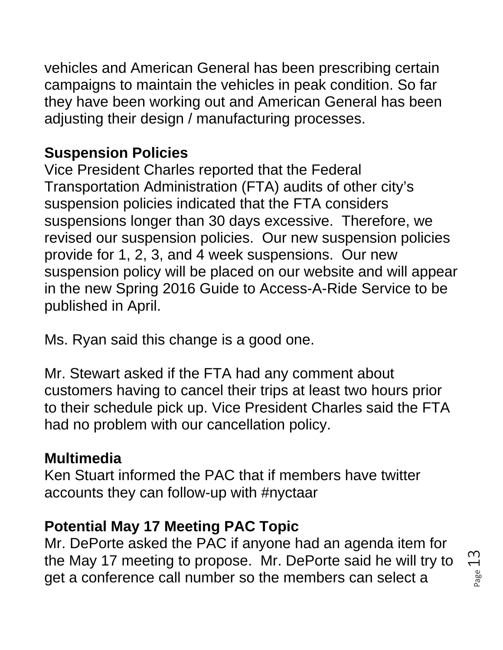vehicles and American General has been prescribing certain campaigns to maintain the vehicles in peak condition. So far they have been working out and American General has been adjusting their design / manufacturing processes.

## **Suspension Policies**

Vice President Charles reported that the Federal Transportation Administration (FTA) audits of other city's suspension policies indicated that the FTA considers suspensions longer than 30 days excessive. Therefore, we revised our suspension policies. Our new suspension policies provide for 1, 2, 3, and 4 week suspensions. Our new suspension policy will be placed on our website and will appear in the new Spring 2016 Guide to Access-A-Ride Service to be published in April.

Ms. Ryan said this change is a good one.

Mr. Stewart asked if the FTA had any comment about customers having to cancel their trips at least two hours prior to their schedule pick up. Vice President Charles said the FTA had no problem with our cancellation policy.

## **Multimedia**

Ken Stuart informed the PAC that if members have twitter accounts they can follow-up with #nyctaar

## **Potential May 17 Meeting PAC Topic**

Mr. DePorte asked the PAC if anyone had an agenda item for the May 17 meeting to propose. Mr. DePorte said he will try to get a conference call number so the members can select a